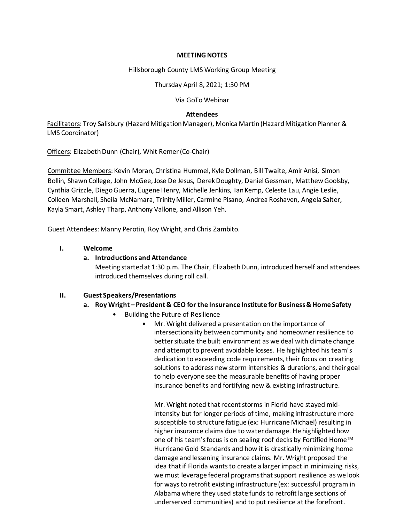#### **MEETING NOTES**

Hillsborough County LMS Working Group Meeting

Thursday April 8, 2021; 1:30 PM

Via GoTo Webinar

## **Attendees**

Facilitators: Troy Salisbury (Hazard Mitigation Manager), Monica Martin(Hazard Mitigation Planner & LMS Coordinator)

Officers: Elizabeth Dunn (Chair), Whit Remer (Co-Chair)

Committee Members: Kevin Moran, Christina Hummel, Kyle Dollman, Bill Twaite, Amir Anisi, Simon Bollin, Shawn College, John McGee, Jose De Jesus, Derek Doughty, Daniel Gessman, Matthew Goolsby, Cynthia Grizzle, Diego Guerra, Eugene Henry, Michelle Jenkins, Ian Kemp, Celeste Lau, Angie Leslie, Colleen Marshall, Sheila McNamara, Trinity Miller, Carmine Pisano, Andrea Roshaven, Angela Salter, Kayla Smart, Ashley Tharp, Anthony Vallone, and Allison Yeh.

Guest Attendees: Manny Perotin, Roy Wright, and Chris Zambito.

## **I. Welcome**

## **a. Introductionsand Attendance**

Meeting started at 1:30 p.m. The Chair, Elizabeth Dunn, introduced herself and attendees introduced themselves during roll call.

## **II. Guest Speakers/Presentations**

## **a. Roy Wright – President & CEO for the Insurance Institute for Business & Home Safety**

- Building the Future of Resilience
	- Mr. Wright delivered a presentation on the importance of intersectionality between community and homeowner resilience to better situate the built environment as we deal with climate change and attempt to prevent avoidable losses. He highlighted his team's dedication to exceeding code requirements, their focus on creating solutions to address new storm intensities & durations, and their goal to help everyone see the measurable benefits of having proper insurance benefits and fortifying new & existing infrastructure.

Mr. Wright noted that recent storms in Florid have stayed midintensity but for longer periods of time, making infrastructure more susceptible to structure fatigue (ex: Hurricane Michael) resulting in higher insurance claims due to water damage. He highlighted how one of his team's focus is on sealing roof decks by Fortified Home™ Hurricane Gold Standards and how it is drastically minimizing home damage and lessening insurance claims. Mr. Wright proposed the idea that if Florida wants to create a larger impact in minimizing risks, we must leverage federal programs that support resilience as we look for ways to retrofit existing infrastructure (ex: successful program in Alabama where they used state funds to retrofit large sections of underserved communities) and to put resilience at the forefront.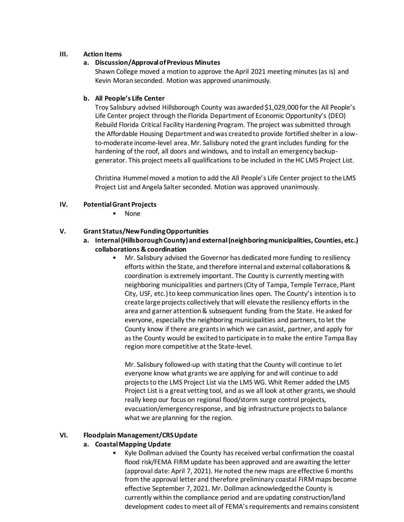## **III. Action Items**

## **a. Discussion/Approval of Previous Minutes**

Shawn College moved a motion to approve the April 2021 meeting minutes (as is) and Kevin Moranseconded. Motion was approved unanimously.

## **b. All People's Life Center**

Troy Salisbury advised Hillsborough County was awarded \$1,029,000 for the All People's Life Center project through the Florida Department of Economic Opportunity's (DEO) Rebuild Florida Critical Facility Hardening Program. The project was submitted through the Affordable Housing Department and was created to provide fortified shelter in a lowto-moderate income-level area. Mr. Salisbury noted the grant includes funding for the hardening of the roof, all doors and windows, and to install an emergency backupgenerator. This project meets all qualifications to be included in the HC LMS Project List.

Christina Hummel moved a motion to add the All People's Life Center project to the LMS Project List and Angela Salter seconded. Motion was approved unanimously.

# **IV. Potential Grant Projects**

• None

## **V. Grant Status/New Funding Opportunities**

- **a. Internal (Hillsborough County) and external (neighboring municipalities, Counties, etc.) collaborations & coordination**
	- Mr. Salisbury advised the Governor has dedicated more funding to resiliency efforts within the State, and therefore internal and external collaborations & coordination is extremely important. The County is currently meeting with neighboring municipalities and partners (City of Tampa, Temple Terrace, Plant City, USF, etc.)to keep communication lines open. The County's intention is to create large projects collectively that will elevate the resiliency efforts in the area and garner attention & subsequent funding from the State. He asked for everyone, especially the neighboring municipalities and partners, to let the County know if there are grants in which we can assist, partner, and apply for as the County would be excited to participate in to make the entire Tampa Bay region more competitive at the State-level.

Mr. Salisbury followed-up with stating that the County will continue to let everyone know what grants we are applying for and will continue to add projects to the LMS Project List via the LMS WG. Whit Remer added the LMS Project List is a great vetting tool, and as we all look at other grants, we should really keep our focus on regional flood/storm surge control projects, evacuation/emergency response, and big infrastructure projects to balance what we are planning for the region.

# **VI. Floodplain Management/CRS Update**

# **a. Coastal Mapping Update**

• Kyle Dollman advised the County has received verbal confirmation the coastal flood risk/FEMA FIRM update has been approved and are awaiting the letter (approval date: April 7, 2021). He noted the new maps are effective 6 months from the approval letter and therefore preliminary coastal FIRM maps become effective September 7, 2021. Mr. Dollman acknowledged the County is currently within the compliance period and are updating construction/land development codes to meet all of FEMA's requirements and remains consistent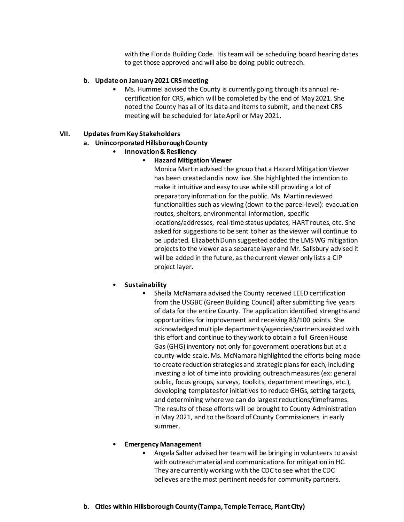with the Florida Building Code. His team will be scheduling board hearing dates to get those approved and will also be doing public outreach.

#### **b. Update on January 2021 CRS meeting**

• Ms. Hummel advised the County is currently going through its annual recertification for CRS, which will be completed by the end of May2021. She noted the County has all of its data and items to submit, and the next CRS meeting will be scheduled for late April or May 2021.

#### **VII. Updates from Key Stakeholders**

#### **a. Unincorporated Hillsborough County**

• **Innovation & Resiliency**

## • **Hazard Mitigation Viewer**

Monica Martin advised the group that a Hazard Mitigation Viewer has been created and is now live. She highlighted the intention to make it intuitive and easy to use while still providing a lot of preparatory information for the public. Ms. Martin reviewed functionalities such as viewing (down to the parcel-level): evacuation routes, shelters, environmental information, specific locations/addresses, real-time status updates, HART routes, etc. She asked for suggestions to be sent to her as the viewer will continue to be updated. Elizabeth Dunn suggested added the LMS WG mitigation projects to the viewer as a separate layer and Mr. Salisbury advised it will be added in the future, as the current viewer only lists a CIP project layer.

## • **Sustainability**

• Sheila McNamara advised the County received LEED certification from the USGBC (Green Building Council) aftersubmitting five years of data for the entire County. The application identified strengths and opportunities for improvement and receiving 83/100 points. She acknowledged multiple departments/agencies/partners assisted with this effort and continue to they work to obtain a full Green House Gas (GHG) inventory not only for government operations but at a county-wide scale. Ms. McNamara highlighted the efforts being made to create reduction strategies and strategic plans for each, including investing a lot of time into providing outreach measures (ex: general public, focus groups, surveys, toolkits, department meetings, etc.), developing templates for initiatives to reduce GHGs, setting targets, and determining where we can do largest reductions/timeframes. The results of these efforts will be brought to County Administration in May 2021, and to the Board of County Commissioners in early summer.

## • **Emergency Management**

- Angela Salter advised her team will be bringing in volunteers to assist with outreach material and communications for mitigation in HC. They are currently working with the CDC to see what the CDC believes are the most pertinent needs for community partners.
- **b. Cities within Hillsborough County (Tampa, Temple Terrace, Plant City)**